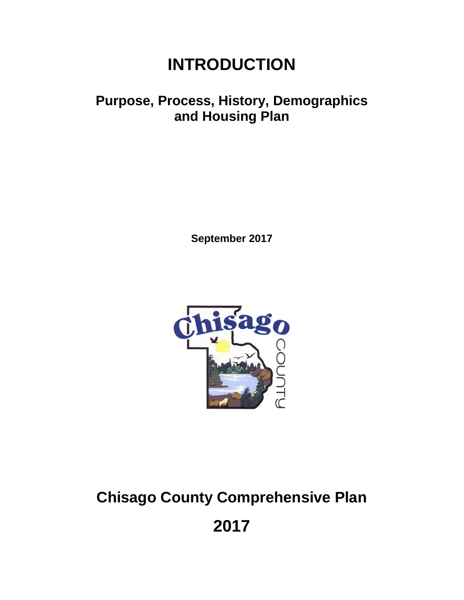## **INTRODUCTION**

## **Purpose, Process, History, Demographics and Housing Plan**

**September 2017**



# **Chisago County Comprehensive Plan**

**2017**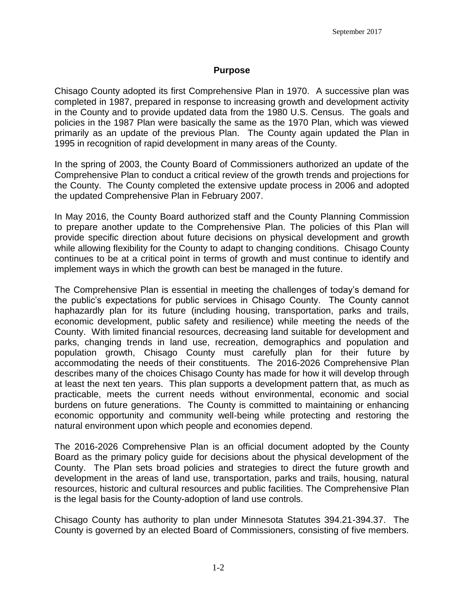#### **Purpose**

Chisago County adopted its first Comprehensive Plan in 1970. A successive plan was completed in 1987, prepared in response to increasing growth and development activity in the County and to provide updated data from the 1980 U.S. Census. The goals and policies in the 1987 Plan were basically the same as the 1970 Plan, which was viewed primarily as an update of the previous Plan. The County again updated the Plan in 1995 in recognition of rapid development in many areas of the County.

In the spring of 2003, the County Board of Commissioners authorized an update of the Comprehensive Plan to conduct a critical review of the growth trends and projections for the County. The County completed the extensive update process in 2006 and adopted the updated Comprehensive Plan in February 2007.

In May 2016, the County Board authorized staff and the County Planning Commission to prepare another update to the Comprehensive Plan. The policies of this Plan will provide specific direction about future decisions on physical development and growth while allowing flexibility for the County to adapt to changing conditions. Chisago County continues to be at a critical point in terms of growth and must continue to identify and implement ways in which the growth can best be managed in the future.

The Comprehensive Plan is essential in meeting the challenges of today's demand for the public's expectations for public services in Chisago County. The County cannot haphazardly plan for its future (including housing, transportation, parks and trails, economic development, public safety and resilience) while meeting the needs of the County. With limited financial resources, decreasing land suitable for development and parks, changing trends in land use, recreation, demographics and population and population growth, Chisago County must carefully plan for their future by accommodating the needs of their constituents. The 2016-2026 Comprehensive Plan describes many of the choices Chisago County has made for how it will develop through at least the next ten years. This plan supports a development pattern that, as much as practicable, meets the current needs without environmental, economic and social burdens on future generations. The County is committed to maintaining or enhancing economic opportunity and community well-being while protecting and restoring the natural environment upon which people and economies depend.

The 2016-2026 Comprehensive Plan is an official document adopted by the County Board as the primary policy guide for decisions about the physical development of the County. The Plan sets broad policies and strategies to direct the future growth and development in the areas of land use, transportation, parks and trails, housing, natural resources, historic and cultural resources and public facilities. The Comprehensive Plan is the legal basis for the County-adoption of land use controls.

Chisago County has authority to plan under Minnesota Statutes 394.21-394.37. The County is governed by an elected Board of Commissioners, consisting of five members.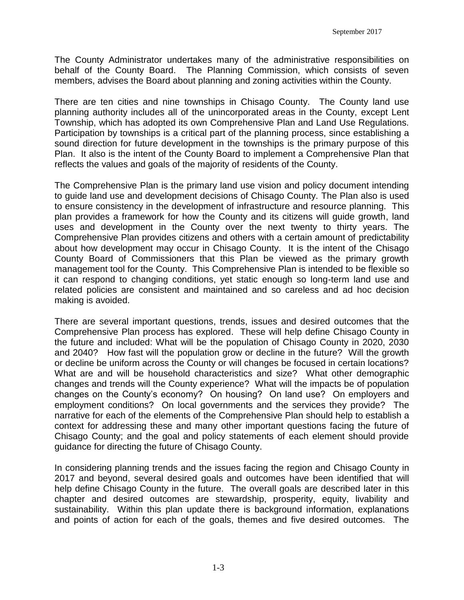The County Administrator undertakes many of the administrative responsibilities on behalf of the County Board. The Planning Commission, which consists of seven members, advises the Board about planning and zoning activities within the County.

There are ten cities and nine townships in Chisago County. The County land use planning authority includes all of the unincorporated areas in the County, except Lent Township, which has adopted its own Comprehensive Plan and Land Use Regulations. Participation by townships is a critical part of the planning process, since establishing a sound direction for future development in the townships is the primary purpose of this Plan. It also is the intent of the County Board to implement a Comprehensive Plan that reflects the values and goals of the majority of residents of the County.

The Comprehensive Plan is the primary land use vision and policy document intending to guide land use and development decisions of Chisago County. The Plan also is used to ensure consistency in the development of infrastructure and resource planning. This plan provides a framework for how the County and its citizens will guide growth, land uses and development in the County over the next twenty to thirty years. The Comprehensive Plan provides citizens and others with a certain amount of predictability about how development may occur in Chisago County. It is the intent of the Chisago County Board of Commissioners that this Plan be viewed as the primary growth management tool for the County. This Comprehensive Plan is intended to be flexible so it can respond to changing conditions, yet static enough so long-term land use and related policies are consistent and maintained and so careless and ad hoc decision making is avoided.

There are several important questions, trends, issues and desired outcomes that the Comprehensive Plan process has explored. These will help define Chisago County in the future and included: What will be the population of Chisago County in 2020, 2030 and 2040? How fast will the population grow or decline in the future? Will the growth or decline be uniform across the County or will changes be focused in certain locations? What are and will be household characteristics and size? What other demographic changes and trends will the County experience? What will the impacts be of population changes on the County's economy? On housing? On land use? On employers and employment conditions? On local governments and the services they provide? The narrative for each of the elements of the Comprehensive Plan should help to establish a context for addressing these and many other important questions facing the future of Chisago County; and the goal and policy statements of each element should provide guidance for directing the future of Chisago County.

In considering planning trends and the issues facing the region and Chisago County in 2017 and beyond, several desired goals and outcomes have been identified that will help define Chisago County in the future. The overall goals are described later in this chapter and desired outcomes are stewardship, prosperity, equity, livability and sustainability. Within this plan update there is background information, explanations and points of action for each of the goals, themes and five desired outcomes. The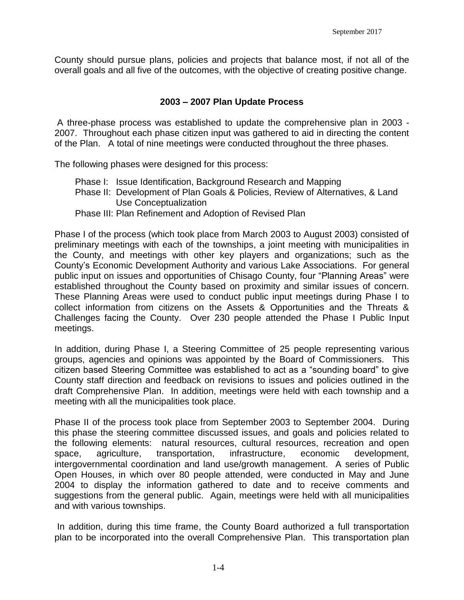County should pursue plans, policies and projects that balance most, if not all of the overall goals and all five of the outcomes, with the objective of creating positive change.

#### **2003 – 2007 Plan Update Process**

A three-phase process was established to update the comprehensive plan in 2003 - 2007. Throughout each phase citizen input was gathered to aid in directing the content of the Plan. A total of nine meetings were conducted throughout the three phases.

The following phases were designed for this process:

- Phase I: Issue Identification, Background Research and Mapping
- Phase II: Development of Plan Goals & Policies, Review of Alternatives, & Land Use Conceptualization
- Phase III: Plan Refinement and Adoption of Revised Plan

Phase I of the process (which took place from March 2003 to August 2003) consisted of preliminary meetings with each of the townships, a joint meeting with municipalities in the County, and meetings with other key players and organizations; such as the County's Economic Development Authority and various Lake Associations. For general public input on issues and opportunities of Chisago County, four "Planning Areas" were established throughout the County based on proximity and similar issues of concern. These Planning Areas were used to conduct public input meetings during Phase I to collect information from citizens on the Assets & Opportunities and the Threats & Challenges facing the County. Over 230 people attended the Phase I Public Input meetings.

In addition, during Phase I, a Steering Committee of 25 people representing various groups, agencies and opinions was appointed by the Board of Commissioners. This citizen based Steering Committee was established to act as a "sounding board" to give County staff direction and feedback on revisions to issues and policies outlined in the draft Comprehensive Plan. In addition, meetings were held with each township and a meeting with all the municipalities took place.

Phase II of the process took place from September 2003 to September 2004. During this phase the steering committee discussed issues, and goals and policies related to the following elements: natural resources, cultural resources, recreation and open space, agriculture, transportation, infrastructure, economic development, intergovernmental coordination and land use/growth management. A series of Public Open Houses, in which over 80 people attended, were conducted in May and June 2004 to display the information gathered to date and to receive comments and suggestions from the general public. Again, meetings were held with all municipalities and with various townships.

In addition, during this time frame, the County Board authorized a full transportation plan to be incorporated into the overall Comprehensive Plan. This transportation plan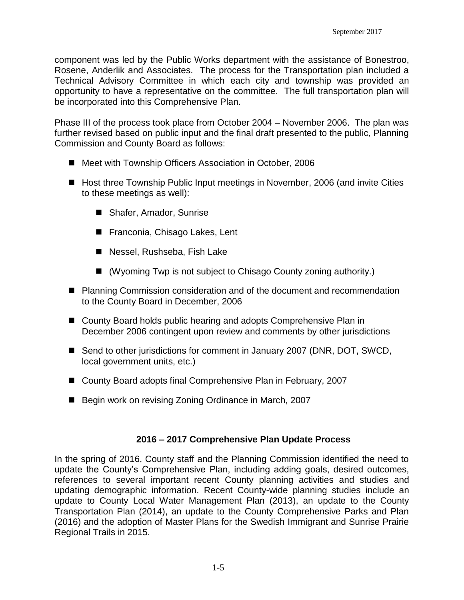component was led by the Public Works department with the assistance of Bonestroo, Rosene, Anderlik and Associates. The process for the Transportation plan included a Technical Advisory Committee in which each city and township was provided an opportunity to have a representative on the committee. The full transportation plan will be incorporated into this Comprehensive Plan.

Phase III of the process took place from October 2004 – November 2006. The plan was further revised based on public input and the final draft presented to the public, Planning Commission and County Board as follows:

- Meet with Township Officers Association in October, 2006
- Host three Township Public Input meetings in November, 2006 (and invite Cities to these meetings as well):
	- Shafer, Amador, Sunrise
	- Franconia, Chisago Lakes, Lent
	- Nessel, Rushseba, Fish Lake
	- (Wyoming Twp is not subject to Chisago County zoning authority.)
- Planning Commission consideration and of the document and recommendation to the County Board in December, 2006
- County Board holds public hearing and adopts Comprehensive Plan in December 2006 contingent upon review and comments by other jurisdictions
- Send to other jurisdictions for comment in January 2007 (DNR, DOT, SWCD, local government units, etc.)
- County Board adopts final Comprehensive Plan in February, 2007
- Begin work on revising Zoning Ordinance in March, 2007

#### **2016 – 2017 Comprehensive Plan Update Process**

In the spring of 2016, County staff and the Planning Commission identified the need to update the County's Comprehensive Plan, including adding goals, desired outcomes, references to several important recent County planning activities and studies and updating demographic information. Recent County-wide planning studies include an update to County Local Water Management Plan (2013), an update to the County Transportation Plan (2014), an update to the County Comprehensive Parks and Plan (2016) and the adoption of Master Plans for the Swedish Immigrant and Sunrise Prairie Regional Trails in 2015.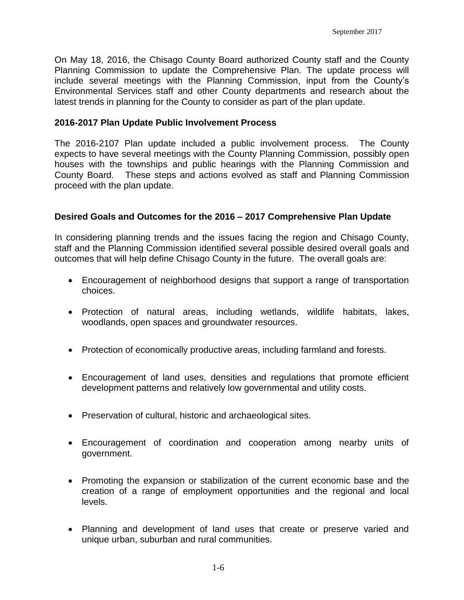On May 18, 2016, the Chisago County Board authorized County staff and the County Planning Commission to update the Comprehensive Plan. The update process will include several meetings with the Planning Commission, input from the County's Environmental Services staff and other County departments and research about the latest trends in planning for the County to consider as part of the plan update.

#### **2016-2017 Plan Update Public Involvement Process**

The 2016-2107 Plan update included a public involvement process. The County expects to have several meetings with the County Planning Commission, possibly open houses with the townships and public hearings with the Planning Commission and County Board. These steps and actions evolved as staff and Planning Commission proceed with the plan update.

#### **Desired Goals and Outcomes for the 2016 – 2017 Comprehensive Plan Update**

In considering planning trends and the issues facing the region and Chisago County, staff and the Planning Commission identified several possible desired overall goals and outcomes that will help define Chisago County in the future. The overall goals are:

- Encouragement of neighborhood designs that support a range of transportation choices.
- Protection of natural areas, including wetlands, wildlife habitats, lakes, woodlands, open spaces and groundwater resources.
- Protection of economically productive areas, including farmland and forests.
- Encouragement of land uses, densities and regulations that promote efficient development patterns and relatively low governmental and utility costs.
- Preservation of cultural, historic and archaeological sites.
- Encouragement of coordination and cooperation among nearby units of government.
- Promoting the expansion or stabilization of the current economic base and the creation of a range of employment opportunities and the regional and local levels.
- Planning and development of land uses that create or preserve varied and unique urban, suburban and rural communities.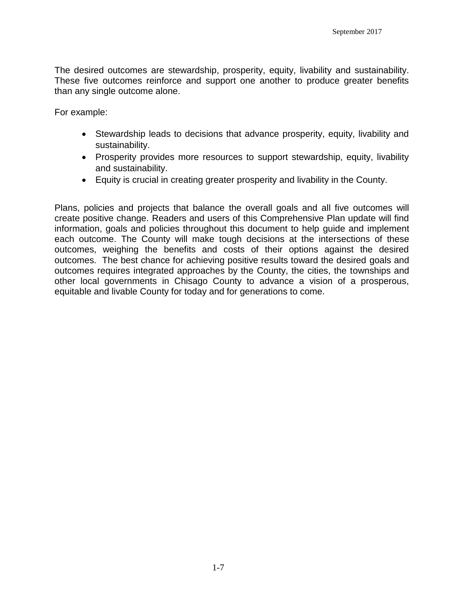The desired outcomes are stewardship, prosperity, equity, livability and sustainability. These five outcomes reinforce and support one another to produce greater benefits than any single outcome alone.

For example:

- Stewardship leads to decisions that advance prosperity, equity, livability and sustainability.
- Prosperity provides more resources to support stewardship, equity, livability and sustainability.
- Equity is crucial in creating greater prosperity and livability in the County.

Plans, policies and projects that balance the overall goals and all five outcomes will create positive change. Readers and users of this Comprehensive Plan update will find information, goals and policies throughout this document to help guide and implement each outcome. The County will make tough decisions at the intersections of these outcomes, weighing the benefits and costs of their options against the desired outcomes. The best chance for achieving positive results toward the desired goals and outcomes requires integrated approaches by the County, the cities, the townships and other local governments in Chisago County to advance a vision of a prosperous, equitable and livable County for today and for generations to come.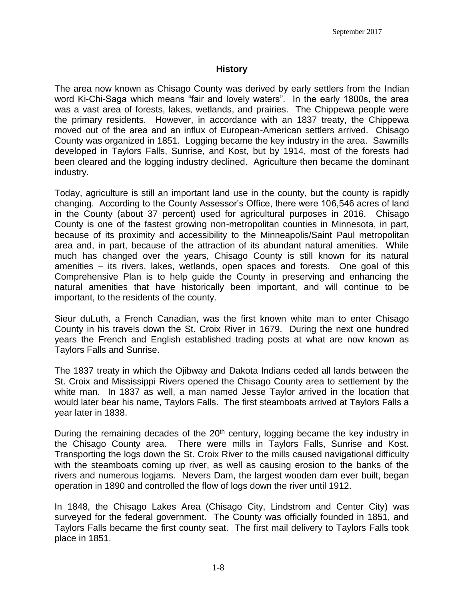#### **History**

The area now known as Chisago County was derived by early settlers from the Indian word Ki-Chi-Saga which means "fair and lovely waters". In the early 1800s, the area was a vast area of forests, lakes, wetlands, and prairies. The Chippewa people were the primary residents. However, in accordance with an 1837 treaty, the Chippewa moved out of the area and an influx of European-American settlers arrived. Chisago County was organized in 1851. Logging became the key industry in the area. Sawmills developed in Taylors Falls, Sunrise, and Kost, but by 1914, most of the forests had been cleared and the logging industry declined. Agriculture then became the dominant industry.

Today, agriculture is still an important land use in the county, but the county is rapidly changing. According to the County Assessor's Office, there were 106,546 acres of land in the County (about 37 percent) used for agricultural purposes in 2016. Chisago County is one of the fastest growing non-metropolitan counties in Minnesota, in part, because of its proximity and accessibility to the Minneapolis/Saint Paul metropolitan area and, in part, because of the attraction of its abundant natural amenities. While much has changed over the years, Chisago County is still known for its natural amenities – its rivers, lakes, wetlands, open spaces and forests. One goal of this Comprehensive Plan is to help guide the County in preserving and enhancing the natural amenities that have historically been important, and will continue to be important, to the residents of the county.

Sieur duLuth, a French Canadian, was the first known white man to enter Chisago County in his travels down the St. Croix River in 1679. During the next one hundred years the French and English established trading posts at what are now known as Taylors Falls and Sunrise.

The 1837 treaty in which the Ojibway and Dakota Indians ceded all lands between the St. Croix and Mississippi Rivers opened the Chisago County area to settlement by the white man. In 1837 as well, a man named Jesse Taylor arrived in the location that would later bear his name, Taylors Falls. The first steamboats arrived at Taylors Falls a year later in 1838.

During the remaining decades of the 20<sup>th</sup> century, logging became the key industry in the Chisago County area. There were mills in Taylors Falls, Sunrise and Kost. Transporting the logs down the St. Croix River to the mills caused navigational difficulty with the steamboats coming up river, as well as causing erosion to the banks of the rivers and numerous logjams. Nevers Dam, the largest wooden dam ever built, began operation in 1890 and controlled the flow of logs down the river until 1912.

In 1848, the Chisago Lakes Area (Chisago City, Lindstrom and Center City) was surveyed for the federal government. The County was officially founded in 1851, and Taylors Falls became the first county seat. The first mail delivery to Taylors Falls took place in 1851.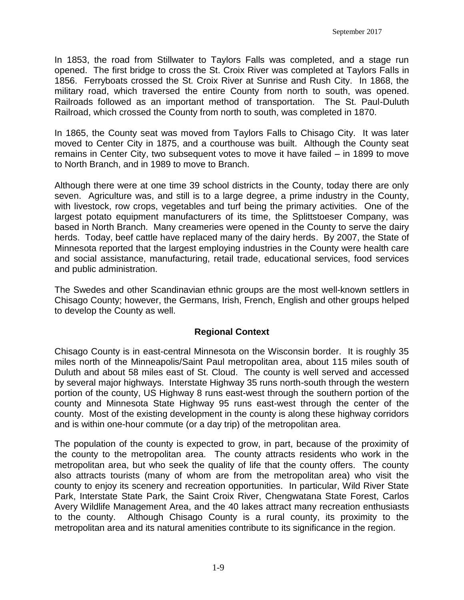In 1853, the road from Stillwater to Taylors Falls was completed, and a stage run opened. The first bridge to cross the St. Croix River was completed at Taylors Falls in 1856. Ferryboats crossed the St. Croix River at Sunrise and Rush City. In 1868, the military road, which traversed the entire County from north to south, was opened. Railroads followed as an important method of transportation. The St. Paul-Duluth Railroad, which crossed the County from north to south, was completed in 1870.

In 1865, the County seat was moved from Taylors Falls to Chisago City. It was later moved to Center City in 1875, and a courthouse was built. Although the County seat remains in Center City, two subsequent votes to move it have failed – in 1899 to move to North Branch, and in 1989 to move to Branch.

Although there were at one time 39 school districts in the County, today there are only seven. Agriculture was, and still is to a large degree, a prime industry in the County, with livestock, row crops, vegetables and turf being the primary activities. One of the largest potato equipment manufacturers of its time, the Splittstoeser Company, was based in North Branch. Many creameries were opened in the County to serve the dairy herds. Today, beef cattle have replaced many of the dairy herds. By 2007, the State of Minnesota reported that the largest employing industries in the County were health care and social assistance, manufacturing, retail trade, educational services, food services and public administration.

The Swedes and other Scandinavian ethnic groups are the most well-known settlers in Chisago County; however, the Germans, Irish, French, English and other groups helped to develop the County as well.

#### **Regional Context**

Chisago County is in east-central Minnesota on the Wisconsin border. It is roughly 35 miles north of the Minneapolis/Saint Paul metropolitan area, about 115 miles south of Duluth and about 58 miles east of St. Cloud. The county is well served and accessed by several major highways. Interstate Highway 35 runs north-south through the western portion of the county, US Highway 8 runs east-west through the southern portion of the county and Minnesota State Highway 95 runs east-west through the center of the county. Most of the existing development in the county is along these highway corridors and is within one-hour commute (or a day trip) of the metropolitan area.

The population of the county is expected to grow, in part, because of the proximity of the county to the metropolitan area. The county attracts residents who work in the metropolitan area, but who seek the quality of life that the county offers. The county also attracts tourists (many of whom are from the metropolitan area) who visit the county to enjoy its scenery and recreation opportunities. In particular, Wild River State Park, Interstate State Park, the Saint Croix River, Chengwatana State Forest, Carlos Avery Wildlife Management Area, and the 40 lakes attract many recreation enthusiasts to the county. Although Chisago County is a rural county, its proximity to the metropolitan area and its natural amenities contribute to its significance in the region.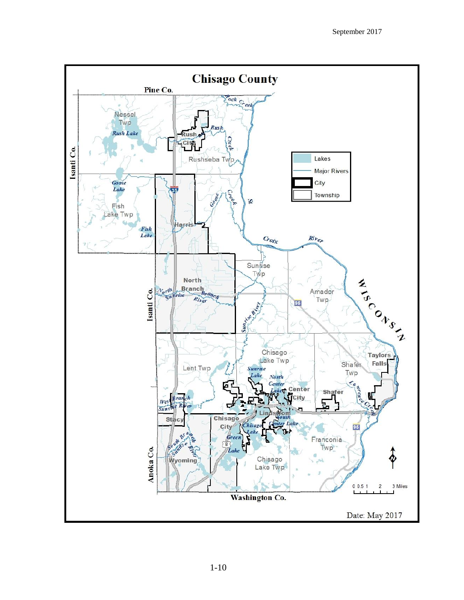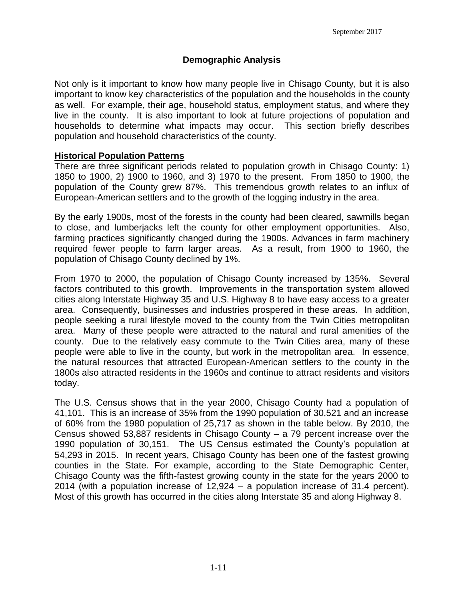#### **Demographic Analysis**

Not only is it important to know how many people live in Chisago County, but it is also important to know key characteristics of the population and the households in the county as well. For example, their age, household status, employment status, and where they live in the county. It is also important to look at future projections of population and households to determine what impacts may occur. This section briefly describes population and household characteristics of the county.

#### **Historical Population Patterns**

There are three significant periods related to population growth in Chisago County: 1) 1850 to 1900, 2) 1900 to 1960, and 3) 1970 to the present. From 1850 to 1900, the population of the County grew 87%. This tremendous growth relates to an influx of European-American settlers and to the growth of the logging industry in the area.

By the early 1900s, most of the forests in the county had been cleared, sawmills began to close, and lumberjacks left the county for other employment opportunities. Also, farming practices significantly changed during the 1900s. Advances in farm machinery required fewer people to farm larger areas. As a result, from 1900 to 1960, the population of Chisago County declined by 1%.

From 1970 to 2000, the population of Chisago County increased by 135%. Several factors contributed to this growth. Improvements in the transportation system allowed cities along Interstate Highway 35 and U.S. Highway 8 to have easy access to a greater area. Consequently, businesses and industries prospered in these areas. In addition, people seeking a rural lifestyle moved to the county from the Twin Cities metropolitan area. Many of these people were attracted to the natural and rural amenities of the county. Due to the relatively easy commute to the Twin Cities area, many of these people were able to live in the county, but work in the metropolitan area. In essence, the natural resources that attracted European-American settlers to the county in the 1800s also attracted residents in the 1960s and continue to attract residents and visitors today.

The U.S. Census shows that in the year 2000, Chisago County had a population of 41,101. This is an increase of 35% from the 1990 population of 30,521 and an increase of 60% from the 1980 population of 25,717 as shown in the table below. By 2010, the Census showed 53,887 residents in Chisago County – a 79 percent increase over the 1990 population of 30,151. The US Census estimated the County's population at 54,293 in 2015. In recent years, Chisago County has been one of the fastest growing counties in the State. For example, according to the State Demographic Center, Chisago County was the fifth-fastest growing county in the state for the years 2000 to 2014 (with a population increase of 12,924 – a population increase of 31.4 percent). Most of this growth has occurred in the cities along Interstate 35 and along Highway 8.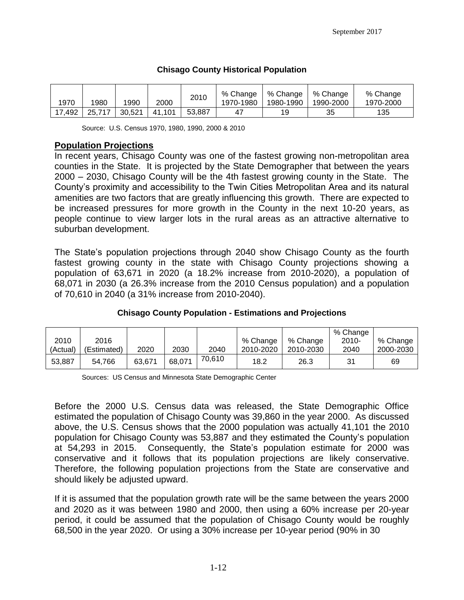#### **Chisago County Historical Population**

| 1970   | 1980            | 1990 | 2000   | 2010   | $%$ Change<br>1970-1980 | % Change<br>1980-1990 | % Change<br>1990-2000 | % Change<br>1970-2000 |
|--------|-----------------|------|--------|--------|-------------------------|-----------------------|-----------------------|-----------------------|
| 17.492 | 25.717   30.521 |      | 41.101 | 53.887 | 4                       | 19                    | 35                    | 135                   |

Source: U.S. Census 1970, 1980, 1990, 2000 & 2010

#### **Population Projections**

In recent years, Chisago County was one of the fastest growing non-metropolitan area counties in the State. It is projected by the State Demographer that between the years 2000 – 2030, Chisago County will be the 4th fastest growing county in the State. The County's proximity and accessibility to the Twin Cities Metropolitan Area and its natural amenities are two factors that are greatly influencing this growth. There are expected to be increased pressures for more growth in the County in the next 10-20 years, as people continue to view larger lots in the rural areas as an attractive alternative to suburban development.

The State's population projections through 2040 show Chisago County as the fourth fastest growing county in the state with Chisago County projections showing a population of 63,671 in 2020 (a 18.2% increase from 2010-2020), a population of 68,071 in 2030 (a 26.3% increase from the 2010 Census population) and a population of 70,610 in 2040 (a 31% increase from 2010-2040).

|          |             |        |        |        |           |           | % Change |           |
|----------|-------------|--------|--------|--------|-----------|-----------|----------|-----------|
| 2010     | 2016        |        |        |        | % Change  | % Change  | $2010 -$ | % Change  |
| (Actual) | (Estimated) | 2020   | 2030   | 2040   | 2010-2020 | 2010-2030 | 2040     | 2000-2030 |
| 53,887   | 54.766      | 63,671 | 68,071 | 70,610 | 18.2      | 26.3      | 31       | 69        |

#### **Chisago County Population - Estimations and Projections**

Sources: US Census and Minnesota State Demographic Center

Before the 2000 U.S. Census data was released, the State Demographic Office estimated the population of Chisago County was 39,860 in the year 2000. As discussed above, the U.S. Census shows that the 2000 population was actually 41,101 the 2010 population for Chisago County was 53,887 and they estimated the County's population at 54,293 in 2015. Consequently, the State's population estimate for 2000 was conservative and it follows that its population projections are likely conservative. Therefore, the following population projections from the State are conservative and should likely be adjusted upward.

If it is assumed that the population growth rate will be the same between the years 2000 and 2020 as it was between 1980 and 2000, then using a 60% increase per 20-year period, it could be assumed that the population of Chisago County would be roughly 68,500 in the year 2020. Or using a 30% increase per 10-year period (90% in 30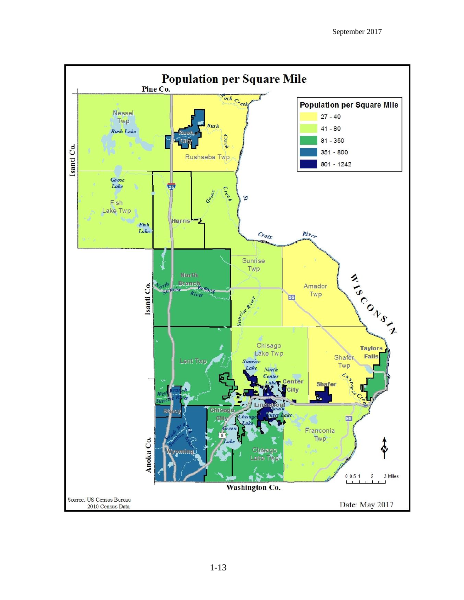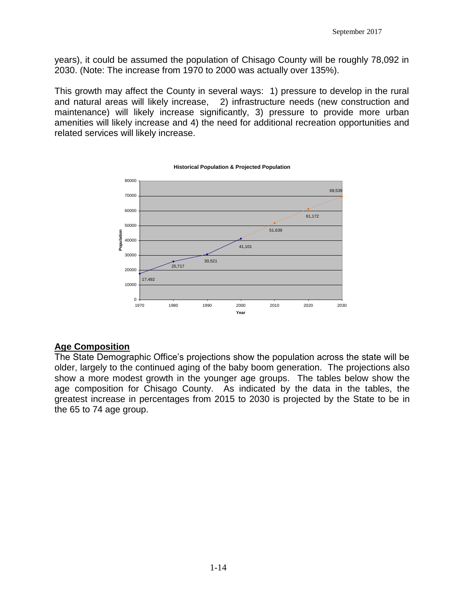years), it could be assumed the population of Chisago County will be roughly 78,092 in 2030. (Note: The increase from 1970 to 2000 was actually over 135%).

This growth may affect the County in several ways: 1) pressure to develop in the rural and natural areas will likely increase, 2) infrastructure needs (new construction and maintenance) will likely increase significantly, 3) pressure to provide more urban amenities will likely increase and 4) the need for additional recreation opportunities and related services will likely increase.



**Historical Population & Projected Population**

#### **Age Composition**

The State Demographic Office's projections show the population across the state will be older, largely to the continued aging of the baby boom generation. The projections also show a more modest growth in the younger age groups. The tables below show the age composition for Chisago County. As indicated by the data in the tables, the greatest increase in percentages from 2015 to 2030 is projected by the State to be in the 65 to 74 age group.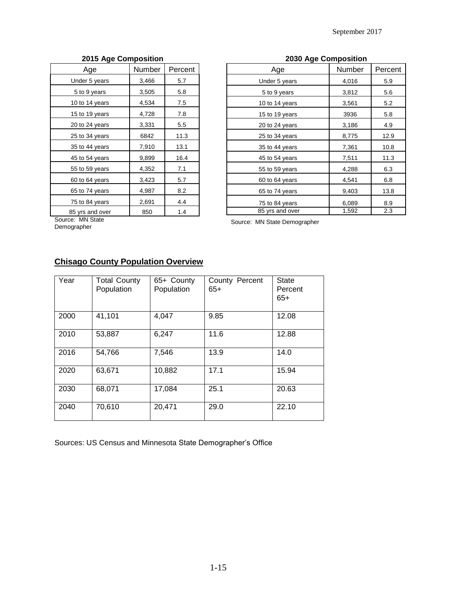| Age             | Number | Percent |
|-----------------|--------|---------|
| Under 5 years   | 3,466  | 5.7     |
| 5 to 9 years    | 3,505  | 5.8     |
| 10 to 14 years  | 4,534  | 7.5     |
| 15 to 19 years  | 4,728  | 7.8     |
| 20 to 24 years  | 3,331  | $5.5\,$ |
| 25 to 34 years  | 6842   | 11.3    |
| 35 to 44 years  | 7,910  | 13.1    |
| 45 to 54 years  | 9,899  | 16.4    |
| 55 to 59 years  | 4,352  | 7.1     |
| 60 to 64 years  | 3,423  | 5.7     |
| 65 to 74 years  | 4,987  | 8.2     |
| 75 to 84 years  | 2,691  | 4.4     |
| 85 yrs and over | 850    | 1.4     |

#### **2015 Age Composition 2030 Age Composition**

| Age             | Number | Percent |
|-----------------|--------|---------|
| Under 5 years   | 4,016  | 5.9     |
| 5 to 9 years    | 3,812  | 5.6     |
| 10 to 14 years  | 3,561  | 5.2     |
| 15 to 19 years  | 3936   | 5.8     |
| 20 to 24 years  | 3,186  | 4.9     |
| 25 to 34 years  | 8,775  | 12.9    |
| 35 to 44 years  | 7,361  | 10.8    |
| 45 to 54 years  | 7,511  | 11.3    |
| 55 to 59 years  | 4,288  | 6.3     |
| 60 to 64 years  | 4,541  | 6.8     |
| 65 to 74 years  | 9,403  | 13.8    |
| 75 to 84 years  | 6,089  | 8.9     |
| 85 yrs and over | 1,592  | 2.3     |

Source: MN State

Demographer

Source: MN State Demographer

#### **Chisago County Population Overview**

| Year | <b>Total County</b><br>Population | 65+ County<br>Population | County Percent<br>$65+$ | <b>State</b><br>Percent<br>$65+$ |
|------|-----------------------------------|--------------------------|-------------------------|----------------------------------|
| 2000 | 41,101                            | 4,047                    | 9.85                    | 12.08                            |
| 2010 | 53,887                            | 6,247                    | 11.6                    | 12.88                            |
| 2016 | 54,766                            | 7,546                    | 13.9                    | 14.0                             |
| 2020 | 63,671                            | 10,882                   | 17.1                    | 15.94                            |
| 2030 | 68,071                            | 17,084                   | 25.1                    | 20.63                            |
| 2040 | 70,610                            | 20,471                   | 29.0                    | 22.10                            |

Sources: US Census and Minnesota State Demographer's Office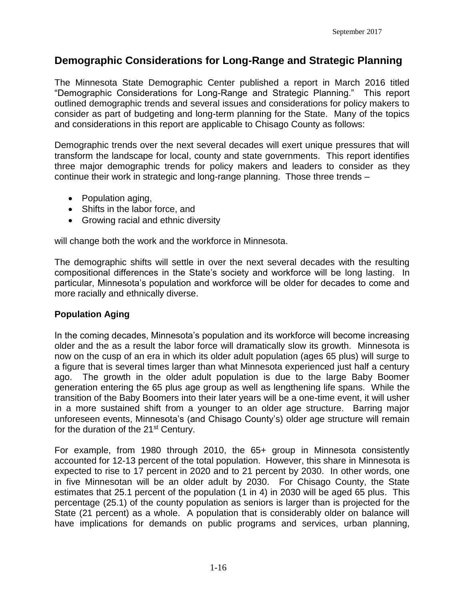#### **Demographic Considerations for Long-Range and Strategic Planning**

The Minnesota State Demographic Center published a report in March 2016 titled "Demographic Considerations for Long-Range and Strategic Planning." This report outlined demographic trends and several issues and considerations for policy makers to consider as part of budgeting and long-term planning for the State. Many of the topics and considerations in this report are applicable to Chisago County as follows:

Demographic trends over the next several decades will exert unique pressures that will transform the landscape for local, county and state governments. This report identifies three major demographic trends for policy makers and leaders to consider as they continue their work in strategic and long-range planning. Those three trends –

- Population aging,
- Shifts in the labor force, and
- Growing racial and ethnic diversity

will change both the work and the workforce in Minnesota.

The demographic shifts will settle in over the next several decades with the resulting compositional differences in the State's society and workforce will be long lasting. In particular, Minnesota's population and workforce will be older for decades to come and more racially and ethnically diverse.

#### **Population Aging**

In the coming decades, Minnesota's population and its workforce will become increasing older and the as a result the labor force will dramatically slow its growth. Minnesota is now on the cusp of an era in which its older adult population (ages 65 plus) will surge to a figure that is several times larger than what Minnesota experienced just half a century ago. The growth in the older adult population is due to the large Baby Boomer generation entering the 65 plus age group as well as lengthening life spans. While the transition of the Baby Boomers into their later years will be a one-time event, it will usher in a more sustained shift from a younger to an older age structure. Barring major unforeseen events, Minnesota's (and Chisago County's) older age structure will remain for the duration of the 21<sup>st</sup> Century.

For example, from 1980 through 2010, the 65+ group in Minnesota consistently accounted for 12-13 percent of the total population. However, this share in Minnesota is expected to rise to 17 percent in 2020 and to 21 percent by 2030. In other words, one in five Minnesotan will be an older adult by 2030. For Chisago County, the State estimates that 25.1 percent of the population (1 in 4) in 2030 will be aged 65 plus. This percentage (25.1) of the county population as seniors is larger than is projected for the State (21 percent) as a whole. A population that is considerably older on balance will have implications for demands on public programs and services, urban planning,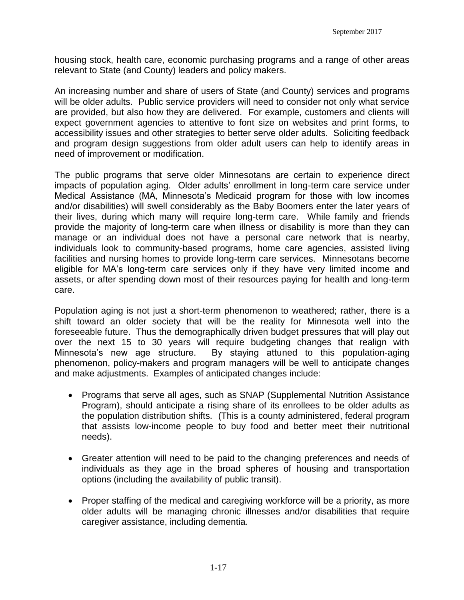housing stock, health care, economic purchasing programs and a range of other areas relevant to State (and County) leaders and policy makers.

An increasing number and share of users of State (and County) services and programs will be older adults. Public service providers will need to consider not only what service are provided, but also how they are delivered. For example, customers and clients will expect government agencies to attentive to font size on websites and print forms, to accessibility issues and other strategies to better serve older adults. Soliciting feedback and program design suggestions from older adult users can help to identify areas in need of improvement or modification.

The public programs that serve older Minnesotans are certain to experience direct impacts of population aging. Older adults' enrollment in long-term care service under Medical Assistance (MA, Minnesota's Medicaid program for those with low incomes and/or disabilities) will swell considerably as the Baby Boomers enter the later years of their lives, during which many will require long-term care. While family and friends provide the majority of long-term care when illness or disability is more than they can manage or an individual does not have a personal care network that is nearby, individuals look to community-based programs, home care agencies, assisted living facilities and nursing homes to provide long-term care services. Minnesotans become eligible for MA's long-term care services only if they have very limited income and assets, or after spending down most of their resources paying for health and long-term care.

Population aging is not just a short-term phenomenon to weathered; rather, there is a shift toward an older society that will be the reality for Minnesota well into the foreseeable future. Thus the demographically driven budget pressures that will play out over the next 15 to 30 years will require budgeting changes that realign with Minnesota's new age structure. By staying attuned to this population-aging phenomenon, policy-makers and program managers will be well to anticipate changes and make adjustments. Examples of anticipated changes include:

- Programs that serve all ages, such as SNAP (Supplemental Nutrition Assistance Program), should anticipate a rising share of its enrollees to be older adults as the population distribution shifts. (This is a county administered, federal program that assists low-income people to buy food and better meet their nutritional needs).
- Greater attention will need to be paid to the changing preferences and needs of individuals as they age in the broad spheres of housing and transportation options (including the availability of public transit).
- Proper staffing of the medical and caregiving workforce will be a priority, as more older adults will be managing chronic illnesses and/or disabilities that require caregiver assistance, including dementia.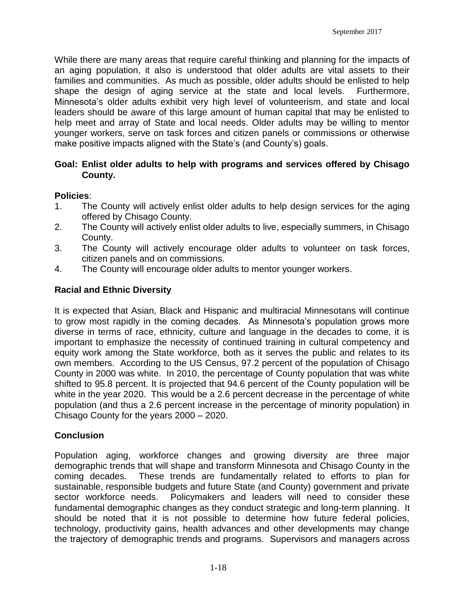While there are many areas that require careful thinking and planning for the impacts of an aging population, it also is understood that older adults are vital assets to their families and communities. As much as possible, older adults should be enlisted to help shape the design of aging service at the state and local levels. Furthermore, Minnesota's older adults exhibit very high level of volunteerism, and state and local leaders should be aware of this large amount of human capital that may be enlisted to help meet and array of State and local needs. Older adults may be willing to mentor younger workers, serve on task forces and citizen panels or commissions or otherwise make positive impacts aligned with the State's (and County's) goals.

#### **Goal: Enlist older adults to help with programs and services offered by Chisago County.**

#### **Policies**:

- 1. The County will actively enlist older adults to help design services for the aging offered by Chisago County.
- 2. The County will actively enlist older adults to live, especially summers, in Chisago County.
- 3. The County will actively encourage older adults to volunteer on task forces, citizen panels and on commissions.
- 4. The County will encourage older adults to mentor younger workers.

#### **Racial and Ethnic Diversity**

It is expected that Asian, Black and Hispanic and multiracial Minnesotans will continue to grow most rapidly in the coming decades. As Minnesota's population grows more diverse in terms of race, ethnicity, culture and language in the decades to come, it is important to emphasize the necessity of continued training in cultural competency and equity work among the State workforce, both as it serves the public and relates to its own members. According to the US Census, 97.2 percent of the population of Chisago County in 2000 was white. In 2010, the percentage of County population that was white shifted to 95.8 percent. It is projected that 94.6 percent of the County population will be white in the year 2020. This would be a 2.6 percent decrease in the percentage of white population (and thus a 2.6 percent increase in the percentage of minority population) in Chisago County for the years 2000 – 2020.

#### **Conclusion**

Population aging, workforce changes and growing diversity are three major demographic trends that will shape and transform Minnesota and Chisago County in the coming decades. These trends are fundamentally related to efforts to plan for sustainable, responsible budgets and future State (and County) government and private sector workforce needs. Policymakers and leaders will need to consider these fundamental demographic changes as they conduct strategic and long-term planning. It should be noted that it is not possible to determine how future federal policies, technology, productivity gains, health advances and other developments may change the trajectory of demographic trends and programs. Supervisors and managers across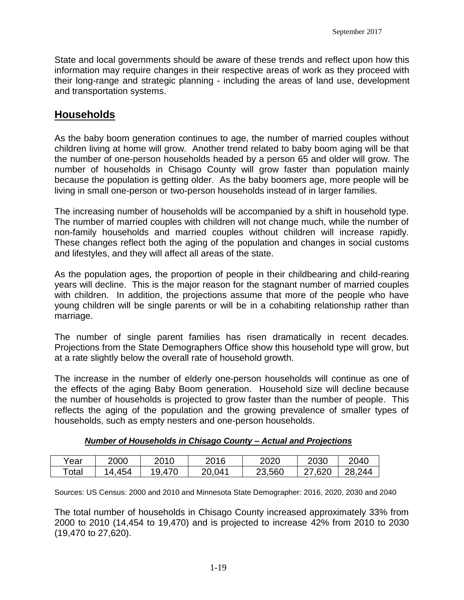State and local governments should be aware of these trends and reflect upon how this information may require changes in their respective areas of work as they proceed with their long-range and strategic planning - including the areas of land use, development and transportation systems.

#### **Households**

As the baby boom generation continues to age, the number of married couples without children living at home will grow. Another trend related to baby boom aging will be that the number of one-person households headed by a person 65 and older will grow. The number of households in Chisago County will grow faster than population mainly because the population is getting older. As the baby boomers age, more people will be living in small one-person or two-person households instead of in larger families.

The increasing number of households will be accompanied by a shift in household type. The number of married couples with children will not change much, while the number of non-family households and married couples without children will increase rapidly. These changes reflect both the aging of the population and changes in social customs and lifestyles, and they will affect all areas of the state.

As the population ages, the proportion of people in their childbearing and child-rearing years will decline. This is the major reason for the stagnant number of married couples with children. In addition, the projections assume that more of the people who have young children will be single parents or will be in a cohabiting relationship rather than marriage.

The number of single parent families has risen dramatically in recent decades. Projections from the State Demographers Office show this household type will grow, but at a rate slightly below the overall rate of household growth.

The increase in the number of elderly one-person households will continue as one of the effects of the aging Baby Boom generation. Household size will decline because the number of households is projected to grow faster than the number of people. This reflects the aging of the population and the growing prevalence of smaller types of households, such as empty nesters and one-person households.

#### *Number of Households in Chisago County – Actual and Projections*

| Year        | 2000  | 2010   | 2016   | 2020   | 2030 | 2040   |
|-------------|-------|--------|--------|--------|------|--------|
| $\tau$ otal | 4,454 | 19,470 | 20,041 | 23,560 | .620 | 28,244 |

Sources: US Census: 2000 and 2010 and Minnesota State Demographer: 2016, 2020, 2030 and 2040

The total number of households in Chisago County increased approximately 33% from 2000 to 2010 (14,454 to 19,470) and is projected to increase 42% from 2010 to 2030 (19,470 to 27,620).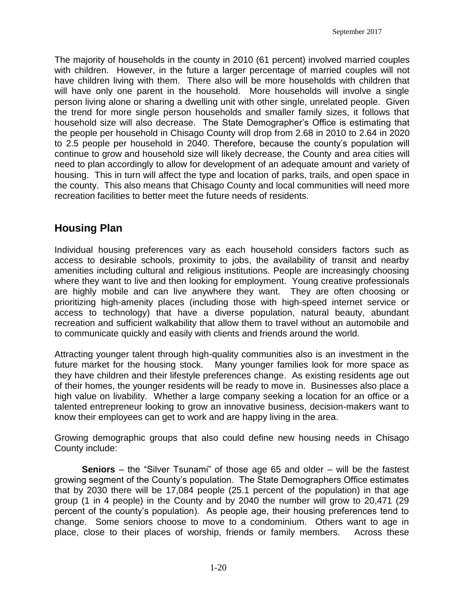The majority of households in the county in 2010 (61 percent) involved married couples with children. However, in the future a larger percentage of married couples will not have children living with them. There also will be more households with children that will have only one parent in the household. More households will involve a single person living alone or sharing a dwelling unit with other single, unrelated people. Given the trend for more single person households and smaller family sizes, it follows that household size will also decrease. The State Demographer's Office is estimating that the people per household in Chisago County will drop from 2.68 in 2010 to 2.64 in 2020 to 2.5 people per household in 2040. Therefore, because the county's population will continue to grow and household size will likely decrease, the County and area cities will need to plan accordingly to allow for development of an adequate amount and variety of housing. This in turn will affect the type and location of parks, trails, and open space in the county. This also means that Chisago County and local communities will need more recreation facilities to better meet the future needs of residents.

### **Housing Plan**

Individual housing preferences vary as each household considers factors such as access to desirable schools, proximity to jobs, the availability of transit and nearby amenities including cultural and religious institutions. People are increasingly choosing where they want to live and then looking for employment. Young creative professionals are highly mobile and can live anywhere they want. They are often choosing or prioritizing high-amenity places (including those with high-speed internet service or access to technology) that have a diverse population, natural beauty, abundant recreation and sufficient walkability that allow them to travel without an automobile and to communicate quickly and easily with clients and friends around the world.

Attracting younger talent through high-quality communities also is an investment in the future market for the housing stock. Many younger families look for more space as they have children and their lifestyle preferences change. As existing residents age out of their homes, the younger residents will be ready to move in. Businesses also place a high value on livability. Whether a large company seeking a location for an office or a talented entrepreneur looking to grow an innovative business, decision-makers want to know their employees can get to work and are happy living in the area.

Growing demographic groups that also could define new housing needs in Chisago County include:

**Seniors** – the "Silver Tsunami" of those age 65 and older – will be the fastest growing segment of the County's population. The State Demographers Office estimates that by 2030 there will be 17,084 people (25.1 percent of the population) in that age group (1 in 4 people) in the County and by 2040 the number will grow to 20,471 (29 percent of the county's population). As people age, their housing preferences tend to change. Some seniors choose to move to a condominium. Others want to age in place, close to their places of worship, friends or family members. Across these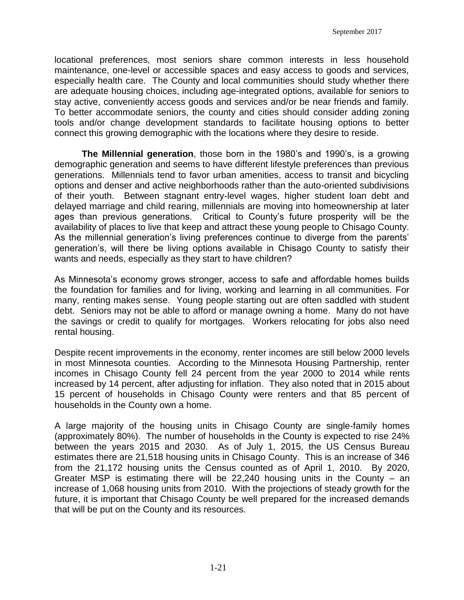locational preferences, most seniors share common interests in less household maintenance, one-level or accessible spaces and easy access to goods and services, especially health care. The County and local communities should study whether there are adequate housing choices, including age-integrated options, available for seniors to stay active, conveniently access goods and services and/or be near friends and family. To better accommodate seniors, the county and cities should consider adding zoning tools and/or change development standards to facilitate housing options to better connect this growing demographic with the locations where they desire to reside.

**The Millennial generation**, those born in the 1980's and 1990's, is a growing demographic generation and seems to have different lifestyle preferences than previous generations. Millennials tend to favor urban amenities, access to transit and bicycling options and denser and active neighborhoods rather than the auto-oriented subdivisions of their youth. Between stagnant entry-level wages, higher student loan debt and delayed marriage and child rearing, millennials are moving into homeownership at later ages than previous generations. Critical to County's future prosperity will be the availability of places to live that keep and attract these young people to Chisago County. As the millennial generation's living preferences continue to diverge from the parents' generation's, will there be living options available in Chisago County to satisfy their wants and needs, especially as they start to have children?

As Minnesota's economy grows stronger, access to safe and affordable homes builds the foundation for families and for living, working and learning in all communities. For many, renting makes sense. Young people starting out are often saddled with student debt. Seniors may not be able to afford or manage owning a home. Many do not have the savings or credit to qualify for mortgages. Workers relocating for jobs also need rental housing.

Despite recent improvements in the economy, renter incomes are still below 2000 levels in most Minnesota counties. According to the Minnesota Housing Partnership, renter incomes in Chisago County fell 24 percent from the year 2000 to 2014 while rents increased by 14 percent, after adjusting for inflation. They also noted that in 2015 about 15 percent of households in Chisago County were renters and that 85 percent of households in the County own a home.

A large majority of the housing units in Chisago County are single-family homes (approximately 80%). The number of households in the County is expected to rise 24% between the years 2015 and 2030. As of July 1, 2015, the US Census Bureau estimates there are 21,518 housing units in Chisago County. This is an increase of 346 from the 21,172 housing units the Census counted as of April 1, 2010. By 2020, Greater MSP is estimating there will be 22,240 housing units in the County – an increase of 1,068 housing units from 2010. With the projections of steady growth for the future, it is important that Chisago County be well prepared for the increased demands that will be put on the County and its resources.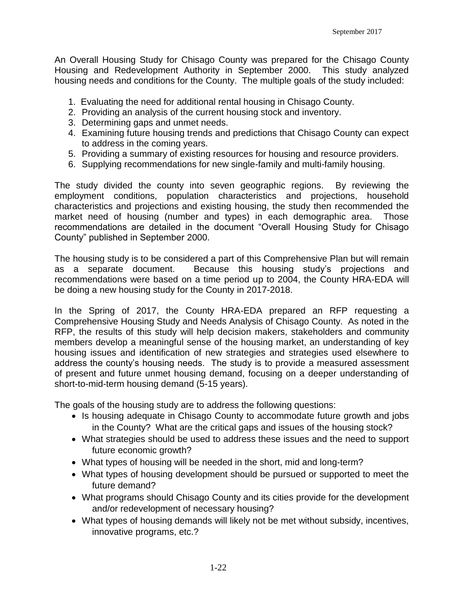An Overall Housing Study for Chisago County was prepared for the Chisago County Housing and Redevelopment Authority in September 2000. This study analyzed housing needs and conditions for the County. The multiple goals of the study included:

- 1. Evaluating the need for additional rental housing in Chisago County.
- 2. Providing an analysis of the current housing stock and inventory.
- 3. Determining gaps and unmet needs.
- 4. Examining future housing trends and predictions that Chisago County can expect to address in the coming years.
- 5. Providing a summary of existing resources for housing and resource providers.
- 6. Supplying recommendations for new single-family and multi-family housing.

The study divided the county into seven geographic regions. By reviewing the employment conditions, population characteristics and projections, household characteristics and projections and existing housing, the study then recommended the market need of housing (number and types) in each demographic area. Those recommendations are detailed in the document "Overall Housing Study for Chisago County" published in September 2000.

The housing study is to be considered a part of this Comprehensive Plan but will remain as a separate document. Because this housing study's projections and recommendations were based on a time period up to 2004, the County HRA-EDA will be doing a new housing study for the County in 2017-2018.

In the Spring of 2017, the County HRA-EDA prepared an RFP requesting a Comprehensive Housing Study and Needs Analysis of Chisago County. As noted in the RFP, the results of this study will help decision makers, stakeholders and community members develop a meaningful sense of the housing market, an understanding of key housing issues and identification of new strategies and strategies used elsewhere to address the county's housing needs. The study is to provide a measured assessment of present and future unmet housing demand, focusing on a deeper understanding of short-to-mid-term housing demand (5-15 years).

The goals of the housing study are to address the following questions:

- Is housing adequate in Chisago County to accommodate future growth and jobs in the County? What are the critical gaps and issues of the housing stock?
- What strategies should be used to address these issues and the need to support future economic growth?
- What types of housing will be needed in the short, mid and long-term?
- What types of housing development should be pursued or supported to meet the future demand?
- What programs should Chisago County and its cities provide for the development and/or redevelopment of necessary housing?
- What types of housing demands will likely not be met without subsidy, incentives, innovative programs, etc.?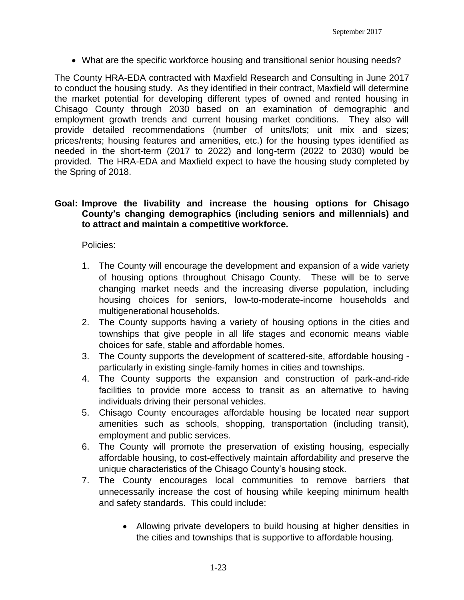What are the specific workforce housing and transitional senior housing needs?

The County HRA-EDA contracted with Maxfield Research and Consulting in June 2017 to conduct the housing study. As they identified in their contract, Maxfield will determine the market potential for developing different types of owned and rented housing in Chisago County through 2030 based on an examination of demographic and employment growth trends and current housing market conditions. They also will provide detailed recommendations (number of units/lots; unit mix and sizes; prices/rents; housing features and amenities, etc.) for the housing types identified as needed in the short-term (2017 to 2022) and long-term (2022 to 2030) would be provided. The HRA-EDA and Maxfield expect to have the housing study completed by the Spring of 2018.

#### **Goal: Improve the livability and increase the housing options for Chisago County's changing demographics (including seniors and millennials) and to attract and maintain a competitive workforce.**

Policies:

- 1. The County will encourage the development and expansion of a wide variety of housing options throughout Chisago County. These will be to serve changing market needs and the increasing diverse population, including housing choices for seniors, low-to-moderate-income households and multigenerational households.
- 2. The County supports having a variety of housing options in the cities and townships that give people in all life stages and economic means viable choices for safe, stable and affordable homes.
- 3. The County supports the development of scattered-site, affordable housing particularly in existing single-family homes in cities and townships.
- 4. The County supports the expansion and construction of park-and-ride facilities to provide more access to transit as an alternative to having individuals driving their personal vehicles.
- 5. Chisago County encourages affordable housing be located near support amenities such as schools, shopping, transportation (including transit), employment and public services.
- 6. The County will promote the preservation of existing housing, especially affordable housing, to cost-effectively maintain affordability and preserve the unique characteristics of the Chisago County's housing stock.
- 7. The County encourages local communities to remove barriers that unnecessarily increase the cost of housing while keeping minimum health and safety standards. This could include:
	- Allowing private developers to build housing at higher densities in the cities and townships that is supportive to affordable housing.